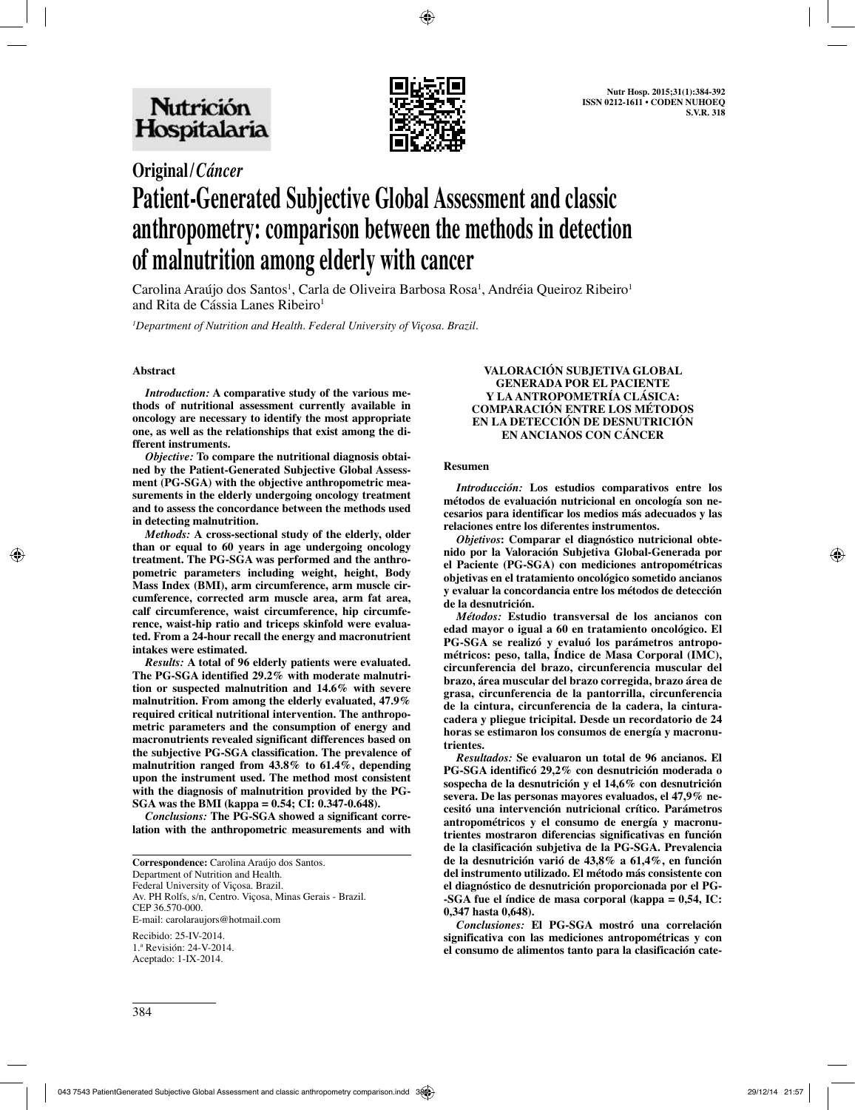

# **Original/***Cáncer* **Patient-Generated Subjective Global Assessment and classic anthropometry: comparison between the methods in detection of malnutrition among elderly with cancer**

Carolina Araújo dos Santos<sup>1</sup>, Carla de Oliveira Barbosa Rosa<sup>1</sup>, Andréia Queiroz Ribeiro<sup>1</sup> and Rita de Cássia Lanes Ribeiro<sup>1</sup>

*1 Department of Nutrition and Health. Federal University of Viçosa. Brazil.*

## **Abstract**

*Introduction:* **A comparative study of the various methods of nutritional assessment currently available in oncology are necessary to identify the most appropriate one, as well as the relationships that exist among the different instruments.**

*Objective:* **To compare the nutritional diagnosis obtained by the Patient-Generated Subjective Global Assessment (PG-SGA) with the objective anthropometric measurements in the elderly undergoing oncology treatment and to assess the concordance between the methods used in detecting malnutrition.**

*Methods:* **A cross-sectional study of the elderly, older than or equal to 60 years in age undergoing oncology treatment. The PG-SGA was performed and the anthropometric parameters including weight, height, Body Mass Index (BMI), arm circumference, arm muscle circumference, corrected arm muscle area, arm fat area, calf circumference, waist circumference, hip circumference, waist-hip ratio and triceps skinfold were evaluated. From a 24-hour recall the energy and macronutrient intakes were estimated.**

*Results:* **A total of 96 elderly patients were evaluated. The PG-SGA identified 29.2% with moderate malnutrition or suspected malnutrition and 14.6% with severe malnutrition. From among the elderly evaluated, 47.9% required critical nutritional intervention. The anthropometric parameters and the consumption of energy and macronutrients revealed significant differences based on the subjective PG-SGA classification. The prevalence of malnutrition ranged from 43.8% to 61.4%, depending upon the instrument used. The method most consistent with the diagnosis of malnutrition provided by the PG-SGA was the BMI (kappa = 0.54; CI: 0.347-0.648).**

*Conclusions:* **The PG-SGA showed a significant correlation with the anthropometric measurements and with** 

**Correspondence:** Carolina Araújo dos Santos. Department of Nutrition and Health. Federal University of Viçosa. Brazil. Av. PH Rolfs, s/n, Centro. Viçosa, Minas Gerais - Brazil. CEP 36.570-000. E-mail: carolaraujors@hotmail.com Recibido: 25-IV-2014. 1.ª Revisión: 24-V-2014.

Aceptado: 1-IX-2014.

#### **VALORACIÓN SUBJETIVA GLOBAL GENERADA POR EL PACIENTE Y LA ANTROPOMETRÍA CLÁSICA: COMPARACIÓN ENTRE LOS MÉTODOS EN LA DETECCIÓN DE DESNUTRICIÓN EN ANCIANOS CON CÁNCER**

#### **Resumen**

*Introducción:* **Los estudios comparativos entre los métodos de evaluación nutricional en oncología son necesarios para identificar los medios más adecuados y las relaciones entre los diferentes instrumentos.**

*Objetivos***: Comparar el diagnóstico nutricional obtenido por la Valoración Subjetiva Global-Generada por el Paciente (PG-SGA) con mediciones antropométricas objetivas en el tratamiento oncológico sometido ancianos y evaluar la concordancia entre los métodos de detección de la desnutrición.**

*Métodos:* **Estudio transversal de los ancianos con edad mayor o igual a 60 en tratamiento oncológico. El PG-SGA se realizó y evaluó los parámetros antropométricos: peso, talla, Índice de Masa Corporal (IMC), circunferencia del brazo, circunferencia muscular del brazo, área muscular del brazo corregida, brazo área de grasa, circunferencia de la pantorrilla, circunferencia de la cintura, circunferencia de la cadera, la cinturacadera y pliegue tricipital. Desde un recordatorio de 24 horas se estimaron los consumos de energía y macronutrientes.**

*Resultados:* **Se evaluaron un total de 96 ancianos. El PG-SGA identificó 29,2% con desnutrición moderada o sospecha de la desnutrición y el 14,6% con desnutrición severa. De las personas mayores evaluados, el 47,9% necesitó una intervención nutricional crítico. Parámetros antropométricos y el consumo de energía y macronutrientes mostraron diferencias significativas en función de la clasificación subjetiva de la PG-SGA. Prevalencia de la desnutrición varió de 43,8% a 61,4%, en función del instrumento utilizado. El método más consistente con el diagnóstico de desnutrición proporcionada por el PG- -SGA fue el índice de masa corporal (kappa = 0,54, IC: 0,347 hasta 0,648).** 

*Conclusiones:* **El PG-SGA mostró una correlación significativa con las mediciones antropométricas y con el consumo de alimentos tanto para la clasificación cate-**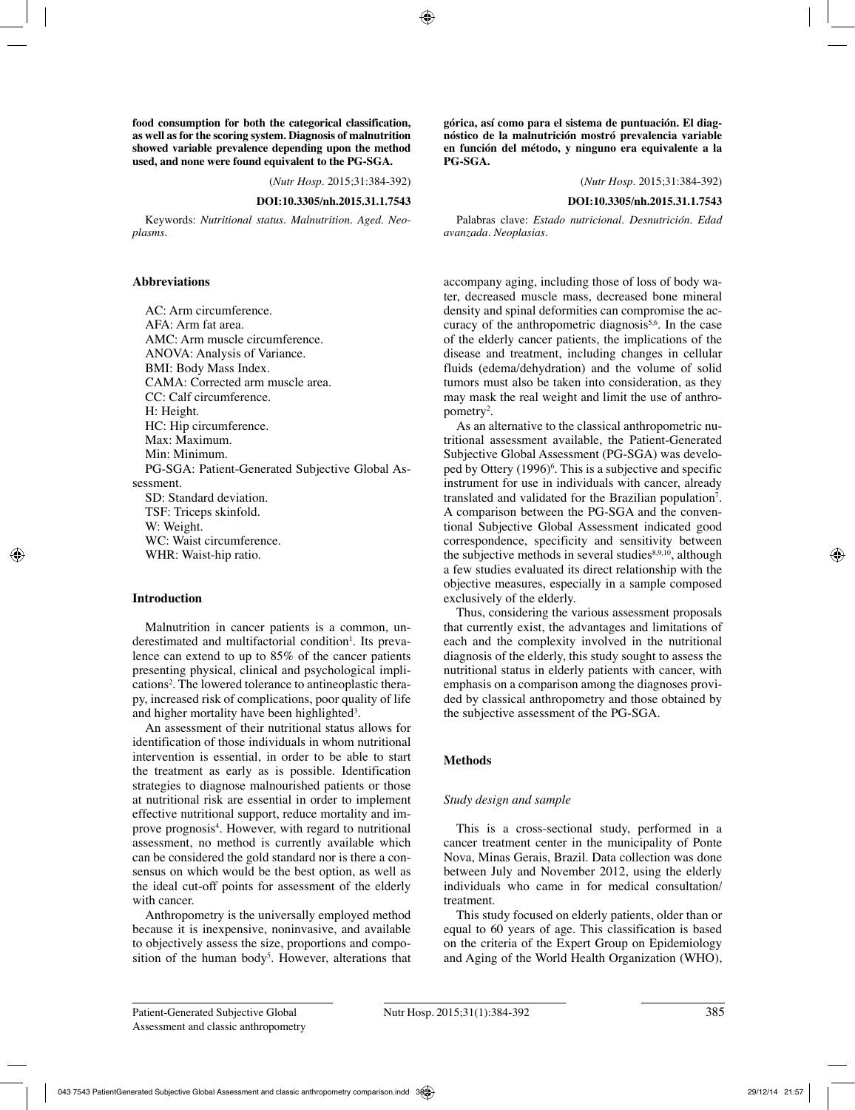**food consumption for both the categorical classification, as well as for the scoring system. Diagnosis of malnutrition showed variable prevalence depending upon the method used, and none were found equivalent to the PG-SGA.**

(*Nutr Hosp.* 2015;31:384-392)

## **DOI:10.3305/nh.2015.31.1.7543**

Keywords: *Nutritional status. Malnutrition. Aged. Neoplasms.*

## **Abbreviations**

AC: Arm circumference.  $AFA \cdot Arm$  fat area. AMC: Arm muscle circumference. ANOVA: Analysis of Variance. BMI: Body Mass Index. CAMA: Corrected arm muscle area. CC: Calf circumference. H: Height. HC: Hip circumference. Max: Maximum. Min: Minimum. PG-SGA: Patient-Generated Subjective Global Assessment. SD: Standard deviation. TSF: Triceps skinfold. W: Weight. WC: Waist circumference. WHR: Waist-hip ratio.

## **Introduction**

Malnutrition in cancer patients is a common, underestimated and multifactorial condition<sup>1</sup>. Its prevalence can extend to up to 85% of the cancer patients presenting physical, clinical and psychological implications<sup>2</sup>. The lowered tolerance to antineoplastic therapy, increased risk of complications, poor quality of life and higher mortality have been highlighted<sup>3</sup>.

An assessment of their nutritional status allows for identification of those individuals in whom nutritional intervention is essential, in order to be able to start the treatment as early as is possible. Identification strategies to diagnose malnourished patients or those at nutritional risk are essential in order to implement effective nutritional support, reduce mortality and improve prognosis<sup>4</sup>. However, with regard to nutritional assessment, no method is currently available which can be considered the gold standard nor is there a consensus on which would be the best option, as well as the ideal cut-off points for assessment of the elderly with cancer.

Anthropometry is the universally employed method because it is inexpensive, noninvasive, and available to objectively assess the size, proportions and composition of the human body<sup>5</sup>. However, alterations that **górica, así como para el sistema de puntuación. El diagnóstico de la malnutrición mostró prevalencia variable en función del método, y ninguno era equivalente a la PG-SGA.**

(*Nutr Hosp.* 2015;31:384-392)

## **DOI:10.3305/nh.2015.31.1.7543**

Palabras clave: *Estado nutricional. Desnutrición. Edad avanzada. Neoplasias.*

accompany aging, including those of loss of body water, decreased muscle mass, decreased bone mineral density and spinal deformities can compromise the accuracy of the anthropometric diagnosis<sup>5,6</sup>. In the case of the elderly cancer patients, the implications of the disease and treatment, including changes in cellular fluids (edema/dehydration) and the volume of solid tumors must also be taken into consideration, as they may mask the real weight and limit the use of anthropometry<sup>2</sup>.

As an alternative to the classical anthropometric nutritional assessment available, the Patient-Generated Subjective Global Assessment (PG-SGA) was developed by Ottery (1996)<sup>6</sup>. This is a subjective and specific instrument for use in individuals with cancer, already translated and validated for the Brazilian population7 . A comparison between the PG-SGA and the conventional Subjective Global Assessment indicated good correspondence, specificity and sensitivity between the subjective methods in several studies $8,9,10$ , although a few studies evaluated its direct relationship with the objective measures, especially in a sample composed exclusively of the elderly.

Thus, considering the various assessment proposals that currently exist, the advantages and limitations of each and the complexity involved in the nutritional diagnosis of the elderly, this study sought to assess the nutritional status in elderly patients with cancer, with emphasis on a comparison among the diagnoses provided by classical anthropometry and those obtained by the subjective assessment of the PG-SGA.

## **Methods**

## *Study design and sample*

This is a cross-sectional study, performed in a cancer treatment center in the municipality of Ponte Nova, Minas Gerais, Brazil. Data collection was done between July and November 2012, using the elderly individuals who came in for medical consultation/ treatment.

This study focused on elderly patients, older than or equal to 60 years of age. This classification is based on the criteria of the Expert Group on Epidemiology and Aging of the World Health Organization (WHO),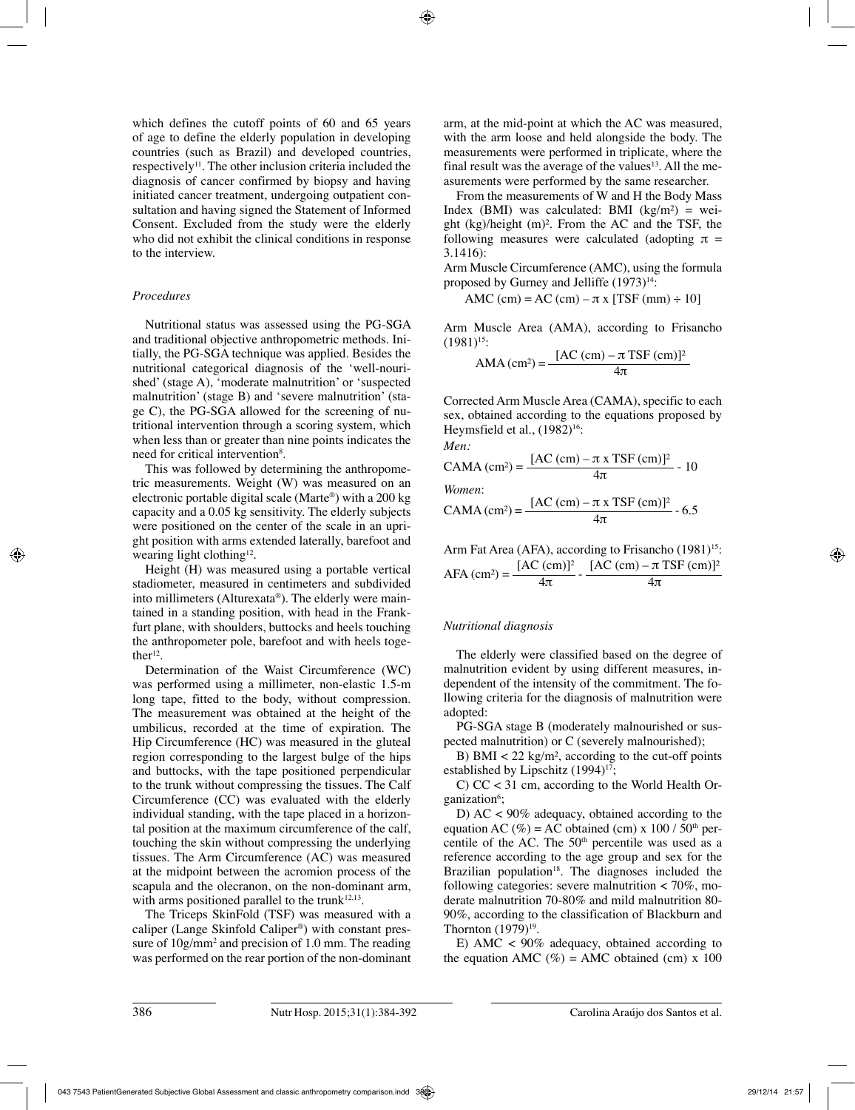which defines the cutoff points of 60 and 65 years of age to define the elderly population in developing countries (such as Brazil) and developed countries, respectively<sup>11</sup>. The other inclusion criteria included the diagnosis of cancer confirmed by biopsy and having initiated cancer treatment, undergoing outpatient consultation and having signed the Statement of Informed Consent. Excluded from the study were the elderly who did not exhibit the clinical conditions in response to the interview.

## *Procedures*

Nutritional status was assessed using the PG-SGA and traditional objective anthropometric methods. Initially, the PG-SGA technique was applied. Besides the nutritional categorical diagnosis of the 'well-nourished' (stage A), 'moderate malnutrition' or 'suspected malnutrition' (stage B) and 'severe malnutrition' (stage C), the PG-SGA allowed for the screening of nutritional intervention through a scoring system, which when less than or greater than nine points indicates the need for critical intervention<sup>8</sup>.

This was followed by determining the anthropometric measurements. Weight (W) was measured on an electronic portable digital scale (Marte®) with a 200 kg capacity and a 0.05 kg sensitivity. The elderly subjects were positioned on the center of the scale in an upright position with arms extended laterally, barefoot and wearing light clothing<sup>12</sup>.

Height (H) was measured using a portable vertical stadiometer, measured in centimeters and subdivided into millimeters (Alturexata®). The elderly were maintained in a standing position, with head in the Frankfurt plane, with shoulders, buttocks and heels touching the anthropometer pole, barefoot and with heels togethe $r^{12}$ .

Determination of the Waist Circumference (WC) was performed using a millimeter, non-elastic 1.5-m long tape, fitted to the body, without compression. The measurement was obtained at the height of the umbilicus, recorded at the time of expiration. The Hip Circumference (HC) was measured in the gluteal region corresponding to the largest bulge of the hips and buttocks, with the tape positioned perpendicular to the trunk without compressing the tissues. The Calf Circumference (CC) was evaluated with the elderly individual standing, with the tape placed in a horizontal position at the maximum circumference of the calf, touching the skin without compressing the underlying tissues. The Arm Circumference (AC) was measured at the midpoint between the acromion process of the scapula and the olecranon, on the non-dominant arm, with arms positioned parallel to the trunk<sup>12,13</sup>.

The Triceps SkinFold (TSF) was measured with a caliper (Lange Skinfold Caliper®) with constant pressure of 10g/mm2 and precision of 1.0 mm. The reading was performed on the rear portion of the non-dominant

arm, at the mid-point at which the AC was measured, with the arm loose and held alongside the body. The measurements were performed in triplicate, where the final result was the average of the values<sup>13</sup>. All the measurements were performed by the same researcher.

From the measurements of W and H the Body Mass Index (BMI) was calculated: BMI ( $kg/m<sup>2</sup>$ ) = weight (kg)/height (m)². From the AC and the TSF, the following measures were calculated (adopting  $\pi$  = 3.1416):

Arm Muscle Circumference (AMC), using the formula proposed by Gurney and Jelliffe  $(1973)^{14}$ :

AMC (cm) = AC (cm)  $-\pi x$  [TSF (mm)  $\div 10$ ]

Arm Muscle Area (AMA), according to Frisancho  $(1981)^{15}$ :

$$
AMA (cm2) = \frac{[AC (cm) – \pi TSF (cm)]2}{4\pi}
$$

Corrected Arm Muscle Area (CAMA), specific to each sex, obtained according to the equations proposed by Heymsfield et al.,  $(1982)^{16}$ : *Men:*

$$
CAMA (cm2) = \frac{[AC (cm) – π x TSF (cm)]2}{4π} - 10
$$
  
*Women:*  
*GAMA (cm<sup>2</sup>)* [AC (cm) – π x TSF (cm)]<sup>2</sup> (5

$$
CAMA (cm2) = \frac{[AC (cm) – \pi x TSF (cm)]2}{4\pi} - 6.5
$$

Arm Fat Area (AFA), according to Frisancho  $(1981)^{15}$ :  $AFA (cm^2) = \frac{[AC (cm)]^2}{4\pi} - \frac{[AC (cm) - \pi TSF (cm)]^2}{4\pi}$ 

# *Nutritional diagnosis*

The elderly were classified based on the degree of malnutrition evident by using different measures, independent of the intensity of the commitment. The following criteria for the diagnosis of malnutrition were adopted:

PG-SGA stage B (moderately malnourished or suspected malnutrition) or C (severely malnourished);

B) BMI  $\lt 22 \text{ kg/m}^2$ , according to the cut-off points established by Lipschitz  $(1994)^{17}$ ;

C) CC < 31 cm, according to the World Health Organization<sup>6</sup>;

D) AC < 90% adequacy, obtained according to the equation AC (%) = AC obtained (cm) x 100 /  $50<sup>th</sup>$  percentile of the AC. The 50<sup>th</sup> percentile was used as a reference according to the age group and sex for the Brazilian population $18$ . The diagnoses included the following categories: severe malnutrition  $<$  70%, moderate malnutrition 70-80% and mild malnutrition 80- 90%, according to the classification of Blackburn and Thornton  $(1979)^{19}$ .

E) AMC  $\lt$  90% adequacy, obtained according to the equation AMC (%) = AMC obtained (cm) x 100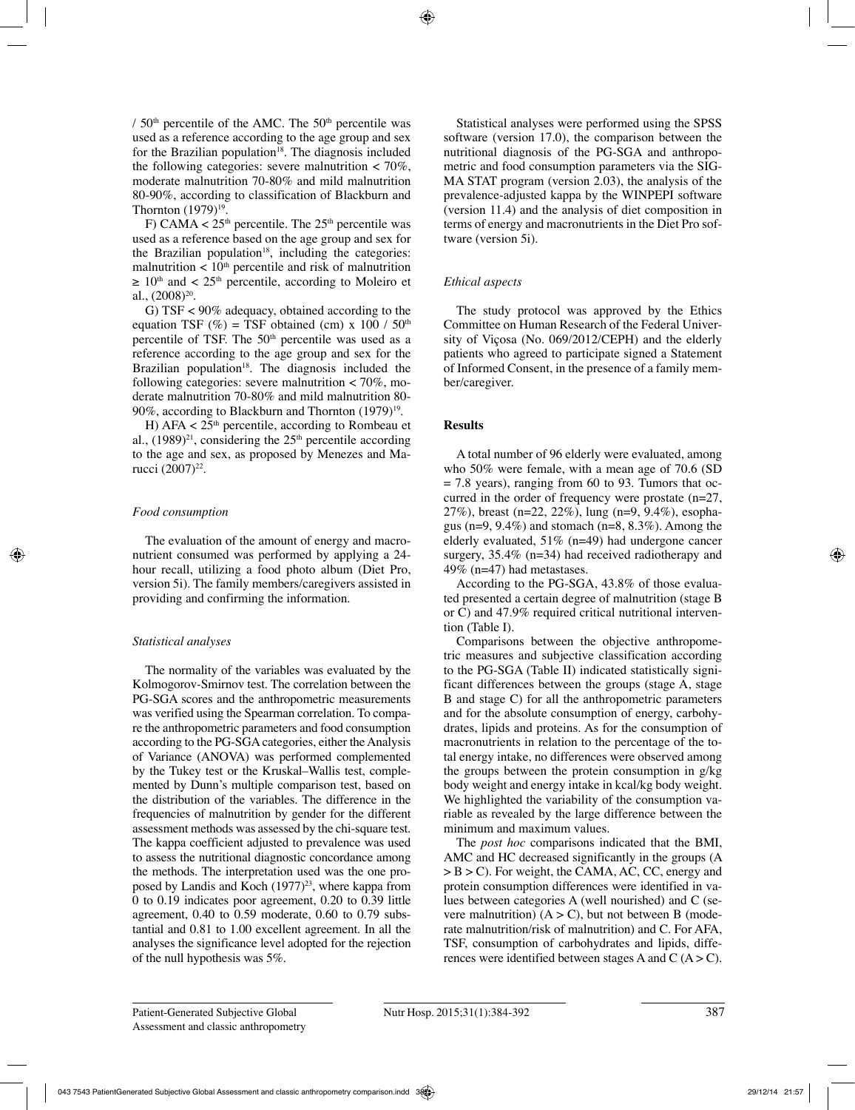/  $50<sup>th</sup>$  percentile of the AMC. The  $50<sup>th</sup>$  percentile was used as a reference according to the age group and sex for the Brazilian population<sup>18</sup>. The diagnosis included the following categories: severe malnutrition  $\lt 70\%$ , moderate malnutrition 70-80% and mild malnutrition 80-90%, according to classification of Blackburn and Thornton  $(1979)^{19}$ .

F) CAMA  $<$  25<sup>th</sup> percentile. The 25<sup>th</sup> percentile was used as a reference based on the age group and sex for the Brazilian population<sup>18</sup>, including the categories: malnutrition  $\lt 10<sup>th</sup>$  percentile and risk of malnutrition  $\geq 10^{\text{th}}$  and < 25<sup>th</sup> percentile, according to Moleiro et al.,  $(2008)^{20}$ .

G) TSF < 90% adequacy, obtained according to the equation TSF (%) = TSF obtained (cm) x 100 /  $50<sup>th</sup>$ percentile of TSF. The 50<sup>th</sup> percentile was used as a reference according to the age group and sex for the Brazilian population $18$ . The diagnosis included the following categories: severe malnutrition  $<$  70%, moderate malnutrition 70-80% and mild malnutrition 80- 90%, according to Blackburn and Thornton  $(1979)^{19}$ .

H)  $AFA < 25<sup>th</sup>$  percentile, according to Rombeau et al.,  $(1989)^{21}$ , considering the  $25<sup>th</sup>$  percentile according to the age and sex, as proposed by Menezes and Marucci (2007)<sup>22</sup>.

# *Food consumption*

The evaluation of the amount of energy and macronutrient consumed was performed by applying a 24 hour recall, utilizing a food photo album (Diet Pro, version 5i). The family members/caregivers assisted in providing and confirming the information.

# *Statistical analyses*

The normality of the variables was evaluated by the Kolmogorov-Smirnov test. The correlation between the PG-SGA scores and the anthropometric measurements was verified using the Spearman correlation. To compare the anthropometric parameters and food consumption according to the PG-SGA categories, either the Analysis of Variance (ANOVA) was performed complemented by the Tukey test or the Kruskal–Wallis test, complemented by Dunn's multiple comparison test, based on the distribution of the variables. The difference in the frequencies of malnutrition by gender for the different assessment methods was assessed by the chi-square test. The kappa coefficient adjusted to prevalence was used to assess the nutritional diagnostic concordance among the methods. The interpretation used was the one proposed by Landis and Koch  $(1977)^{23}$ , where kappa from 0 to 0.19 indicates poor agreement, 0.20 to 0.39 little agreement, 0.40 to 0.59 moderate, 0.60 to 0.79 substantial and 0.81 to 1.00 excellent agreement. In all the analyses the significance level adopted for the rejection of the null hypothesis was 5%.

Statistical analyses were performed using the SPSS software (version 17.0), the comparison between the nutritional diagnosis of the PG-SGA and anthropometric and food consumption parameters via the SIG-MA STAT program (version 2.03), the analysis of the prevalence-adjusted kappa by the WINPEPI software (version 11.4) and the analysis of diet composition in terms of energy and macronutrients in the Diet Pro software (version 5i).

# *Ethical aspects*

The study protocol was approved by the Ethics Committee on Human Research of the Federal University of Viçosa (No. 069/2012/CEPH) and the elderly patients who agreed to participate signed a Statement of Informed Consent, in the presence of a family member/caregiver.

# **Results**

A total number of 96 elderly were evaluated, among who 50% were female, with a mean age of 70.6 (SD  $= 7.8$  years), ranging from 60 to 93. Tumors that occurred in the order of frequency were prostate (n=27, 27%), breast (n=22, 22%), lung (n=9, 9.4%), esophagus ( $n=9, 9.4\%$ ) and stomach ( $n=8, 8.3\%$ ). Among the elderly evaluated, 51% (n=49) had undergone cancer surgery, 35.4% (n=34) had received radiotherapy and 49% (n=47) had metastases.

According to the PG-SGA, 43.8% of those evaluated presented a certain degree of malnutrition (stage B or C) and 47.9% required critical nutritional intervention (Table I).

Comparisons between the objective anthropometric measures and subjective classification according to the PG-SGA (Table II) indicated statistically significant differences between the groups (stage A, stage B and stage C) for all the anthropometric parameters and for the absolute consumption of energy, carbohydrates, lipids and proteins. As for the consumption of macronutrients in relation to the percentage of the total energy intake, no differences were observed among the groups between the protein consumption in g/kg body weight and energy intake in kcal/kg body weight. We highlighted the variability of the consumption variable as revealed by the large difference between the minimum and maximum values.

The *post hoc* comparisons indicated that the BMI, AMC and HC decreased significantly in the groups (A > B > C). For weight, the CAMA, AC, CC, energy and protein consumption differences were identified in values between categories A (well nourished) and C (severe malnutrition)  $(A > C)$ , but not between B (moderate malnutrition/risk of malnutrition) and C. For AFA, TSF, consumption of carbohydrates and lipids, differences were identified between stages A and C  $(A > C)$ .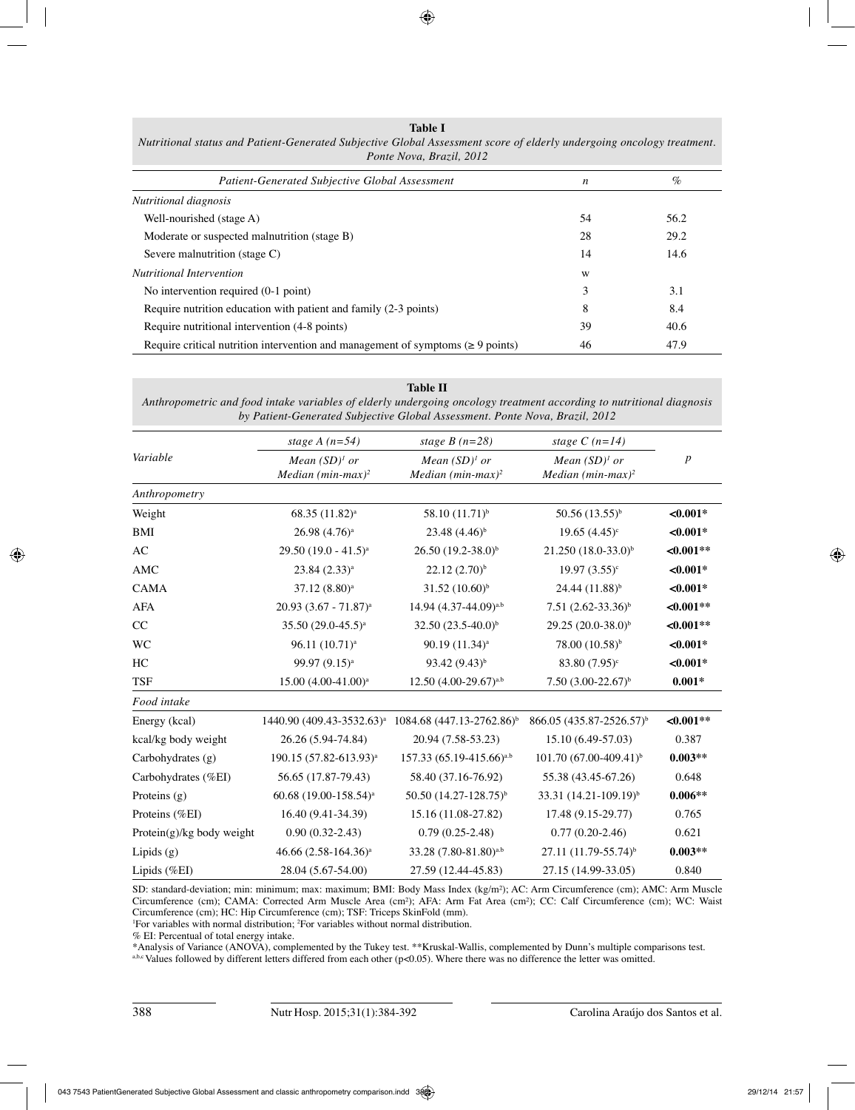| Table I                                                                                                               |  |  |  |
|-----------------------------------------------------------------------------------------------------------------------|--|--|--|
| Nutritional status and Patient-Generated Subjective Global Assessment score of elderly undergoing oncology treatment. |  |  |  |
| Ponte Nova, Brazil, 2012                                                                                              |  |  |  |

| Patient-Generated Subjective Global Assessment                                        | $\boldsymbol{n}$ | $\%$ |
|---------------------------------------------------------------------------------------|------------------|------|
| Nutritional diagnosis                                                                 |                  |      |
| Well-nourished (stage A)                                                              | 54               | 56.2 |
| Moderate or suspected malnutrition (stage B)                                          | 28               | 29.2 |
| Severe malnutrition (stage C)                                                         | 14               | 14.6 |
| <b>Nutritional Intervention</b>                                                       | W                |      |
| No intervention required (0-1 point)                                                  | 3                | 3.1  |
| Require nutrition education with patient and family (2-3 points)                      | 8                | 8.4  |
| Require nutritional intervention (4-8 points)                                         | 39               | 40.6 |
| Require critical nutrition intervention and management of symptoms ( $\geq 9$ points) | 46               | 47.9 |

## **Table II**

*Anthropometric and food intake variables of elderly undergoing oncology treatment according to nutritional diagnosis by Patient-Generated Subjective Global Assessment. Ponte Nova, Brazil, 2012*

|                           | stage A $(n=54)$                                  | stage $B(n=28)$                                     | stage $C(n=14)$                                     |                  |
|---------------------------|---------------------------------------------------|-----------------------------------------------------|-----------------------------------------------------|------------------|
| Variable                  | Mean $(SD)^{1}$ or<br>Median $(min\text{-}max)^2$ | Mean $(SD)^{1}$ or<br>Median (min-max) <sup>2</sup> | Mean $(SD)^{1}$ or<br>Median (min-max) <sup>2</sup> | $\boldsymbol{p}$ |
| Anthropometry             |                                                   |                                                     |                                                     |                  |
| Weight                    | 68.35 (11.82) <sup>a</sup>                        | 58.10 (11.71) <sup>b</sup>                          | $50.56(13.55)^{b}$                                  | $<0.001*$        |
| BMI                       | $26.98(4.76)^a$                                   | $23.48(4.46)^{b}$                                   | $19.65(4.45)$ <sup>c</sup>                          | $< 0.001*$       |
| AC                        | 29.50 (19.0 - 41.5) <sup>a</sup>                  | $26.50 (19.2 - 38.0)^b$                             | $21.250 (18.0 - 33.0)^{b}$                          | $<0.001**$       |
| AMC                       | 23.84 (2.33) <sup>a</sup>                         | $22.12(2.70)^{b}$                                   | $19.97(3.55)^c$                                     | $<0.001*$        |
| <b>CAMA</b>               | 37.12 (8.80) <sup>a</sup>                         | $31.52 (10.60)^{b}$                                 | $24.44(11.88)^{b}$                                  | $<0.001*$        |
| <b>AFA</b>                | $20.93 (3.67 - 71.87)^a$                          | 14.94 (4.37-44.09) <sup>a,b</sup>                   | 7.51 $(2.62-33.36)^{b}$                             | $<0.001**$       |
| CC                        | 35.50 (29.0-45.5) <sup>a</sup>                    | 32.50 $(23.5-40.0)^b$                               | 29.25 (20.0-38.0) <sup>b</sup>                      | $<0.001**$       |
| WC                        | 96.11 (10.71) <sup>a</sup>                        | 90.19 (11.34) <sup>a</sup>                          | 78.00 (10.58) <sup>b</sup>                          | $< 0.001*$       |
| HC                        | 99.97 (9.15) <sup>a</sup>                         | 93.42 $(9.43)^{b}$                                  | 83.80 (7.95) <sup>c</sup>                           | $<0.001*$        |
| <b>TSF</b>                | $15.00(4.00-41.00)^a$                             | $12.50(4.00-29.67)^{a.b}$                           | $7.50(3.00-22.67)^{b}$                              | $0.001*$         |
| Food intake               |                                                   |                                                     |                                                     |                  |
| Energy (kcal)             | 1440.90 (409.43-3532.63) <sup>a</sup>             | 1084.68 (447.13-2762.86) <sup>b</sup>               | 866.05 (435.87-2526.57) <sup>b</sup>                | $<0.001**$       |
| kcal/kg body weight       | 26.26 (5.94-74.84)                                | 20.94 (7.58-53.23)                                  | 15.10 (6.49-57.03)                                  | 0.387            |
| Carbohydrates (g)         | 190.15 (57.82-613.93) <sup>a</sup>                | 157.33 (65.19-415.66) <sup>a,b</sup>                | 101.70 (67.00-409.41) <sup>b</sup>                  | $0.003**$        |
| Carbohydrates (%EI)       | 56.65 (17.87-79.43)                               | 58.40 (37.16-76.92)                                 | 55.38 (43.45-67.26)                                 | 0.648            |
| Proteins $(g)$            | 60.68 (19.00-158.54) <sup>a</sup>                 | 50.50 (14.27-128.75) <sup>b</sup>                   | 33.31 (14.21-109.19) <sup>b</sup>                   | $0.006**$        |
| Proteins (%EI)            | 16.40 (9.41-34.39)                                | 15.16 (11.08-27.82)                                 | 17.48 (9.15-29.77)                                  | 0.765            |
| Protein(g)/kg body weight | $0.90(0.32-2.43)$                                 | $0.79(0.25-2.48)$                                   | $0.77(0.20-2.46)$                                   | 0.621            |
| Lipids (g)                | 46.66 (2.58-164.36) <sup>a</sup>                  | 33.28 (7.80-81.80) <sup>a,b</sup>                   | 27.11 (11.79-55.74) <sup>b</sup>                    | $0.003**$        |
| Lipids (%EI)              | 28.04 (5.67-54.00)                                | 27.59 (12.44-45.83)                                 | 27.15 (14.99-33.05)                                 | 0.840            |

SD: standard-deviation; min: minimum; max: maximum; BMI: Body Mass Index (kg/m²); AC: Arm Circumference (cm); AMC: Arm Muscle Circumference (cm); CAMA: Corrected Arm Muscle Area (cm²); AFA: Arm Fat Area (cm²); CC: Calf Circumference (cm); WC: Waist Circumference (cm); HC: Hip Circumference (cm); TSF: Triceps SkinFold (mm).

1 For variables with normal distribution; 2 For variables without normal distribution.

% EI: Percentual of total energy intake.

\*Analysis of Variance (ANOVA), complemented by the Tukey test. \*\*Kruskal-Wallis, complemented by Dunn's multiple comparisons test.

 $a$ ,b,c Values followed by different letters differed from each other (p<0.05). Where there was no difference the letter was omitted.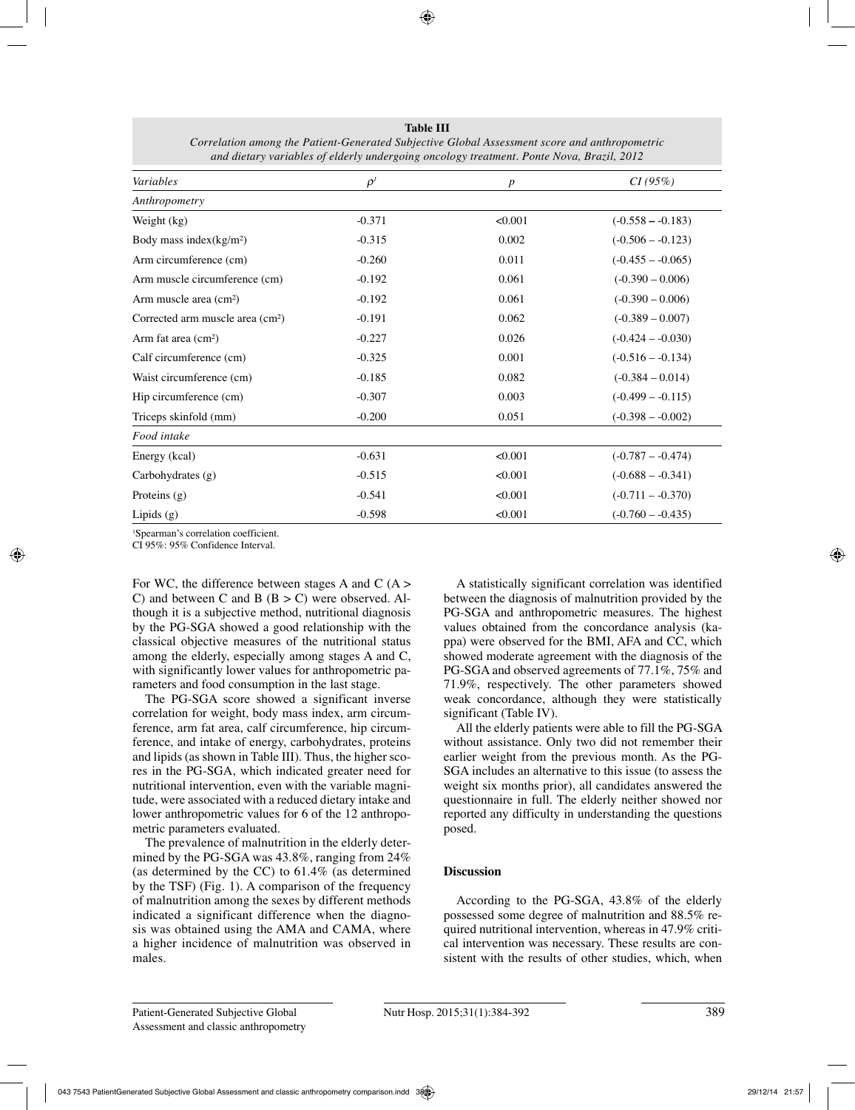| Variables                                    | $\rho^{\scriptscriptstyle I}$ |                  | CI(95%)             |
|----------------------------------------------|-------------------------------|------------------|---------------------|
|                                              |                               | $\boldsymbol{p}$ |                     |
| Anthropometry                                | $-0.371$                      | < 0.001          |                     |
| Weight (kg)                                  |                               |                  | $(-0.558 - 0.183)$  |
| Body mass index $(kg/m2)$                    | $-0.315$                      | 0.002            | $(-0.506 - 0.123)$  |
| Arm circumference (cm)                       | $-0.260$                      | 0.011            | $(-0.455 - -0.065)$ |
| Arm muscle circumference (cm)                | $-0.192$                      | 0.061            | $(-0.390 - 0.006)$  |
| Arm muscle area (cm <sup>2</sup> )           | $-0.192$                      | 0.061            | $(-0.390 - 0.006)$  |
| Corrected arm muscle area (cm <sup>2</sup> ) | $-0.191$                      | 0.062            | $(-0.389 - 0.007)$  |
| Arm fat area $(cm2)$                         | $-0.227$                      | 0.026            | $(-0.424 - 0.030)$  |
| Calf circumference (cm)                      | $-0.325$                      | 0.001            | $(-0.516 - -0.134)$ |
| Waist circumference (cm)                     | $-0.185$                      | 0.082            | $(-0.384 - 0.014)$  |
| Hip circumference (cm)                       | $-0.307$                      | 0.003            | $(-0.499 - -0.115)$ |
| Triceps skinfold (mm)                        | $-0.200$                      | 0.051            | $(-0.398 - 0.002)$  |
| Food intake                                  |                               |                  |                     |
| Energy (kcal)                                | $-0.631$                      | < 0.001          | $(-0.787 - -0.474)$ |
| Carbohydrates $(g)$                          | $-0.515$                      | < 0.001          | $(-0.688 - -0.341)$ |
| Proteins $(g)$                               | $-0.541$                      | < 0.001          | $(-0.711 - -0.370)$ |
| Lipids $(g)$                                 | $-0.598$                      | < 0.001          | $(-0.760 - 0.435)$  |

**Table III** *Correlation among the Patient-Generated Subjective Global Assessment score and anthropometric and dietary variables of elderly undergoing oncology treatment. Ponte Nova, Brazil, 2012*

1 Spearman's correlation coefficient.

CI 95%: 95% Confidence Interval.

For WC, the difference between stages A and C  $(A >$ C) and between C and B  $(B > C)$  were observed. Although it is a subjective method, nutritional diagnosis by the PG-SGA showed a good relationship with the classical objective measures of the nutritional status among the elderly, especially among stages A and C, with significantly lower values for anthropometric parameters and food consumption in the last stage.

The PG-SGA score showed a significant inverse correlation for weight, body mass index, arm circumference, arm fat area, calf circumference, hip circumference, and intake of energy, carbohydrates, proteins and lipids (as shown in Table III). Thus, the higher scores in the PG-SGA, which indicated greater need for nutritional intervention, even with the variable magnitude, were associated with a reduced dietary intake and lower anthropometric values for 6 of the 12 anthropometric parameters evaluated.

The prevalence of malnutrition in the elderly determined by the PG-SGA was 43.8%, ranging from 24% (as determined by the CC) to 61.4% (as determined by the TSF) (Fig. 1). A comparison of the frequency of malnutrition among the sexes by different methods indicated a significant difference when the diagnosis was obtained using the AMA and CAMA, where a higher incidence of malnutrition was observed in males.

A statistically significant correlation was identified between the diagnosis of malnutrition provided by the PG-SGA and anthropometric measures. The highest values obtained from the concordance analysis (kappa) were observed for the BMI, AFA and CC, which showed moderate agreement with the diagnosis of the PG-SGA and observed agreements of 77.1%, 75% and 71.9%, respectively. The other parameters showed weak concordance, although they were statistically significant (Table IV).

All the elderly patients were able to fill the PG-SGA without assistance. Only two did not remember their earlier weight from the previous month. As the PG-SGA includes an alternative to this issue (to assess the weight six months prior), all candidates answered the questionnaire in full. The elderly neither showed nor reported any difficulty in understanding the questions posed.

# **Discussion**

According to the PG-SGA, 43.8% of the elderly possessed some degree of malnutrition and 88.5% required nutritional intervention, whereas in 47.9% critical intervention was necessary. These results are consistent with the results of other studies, which, when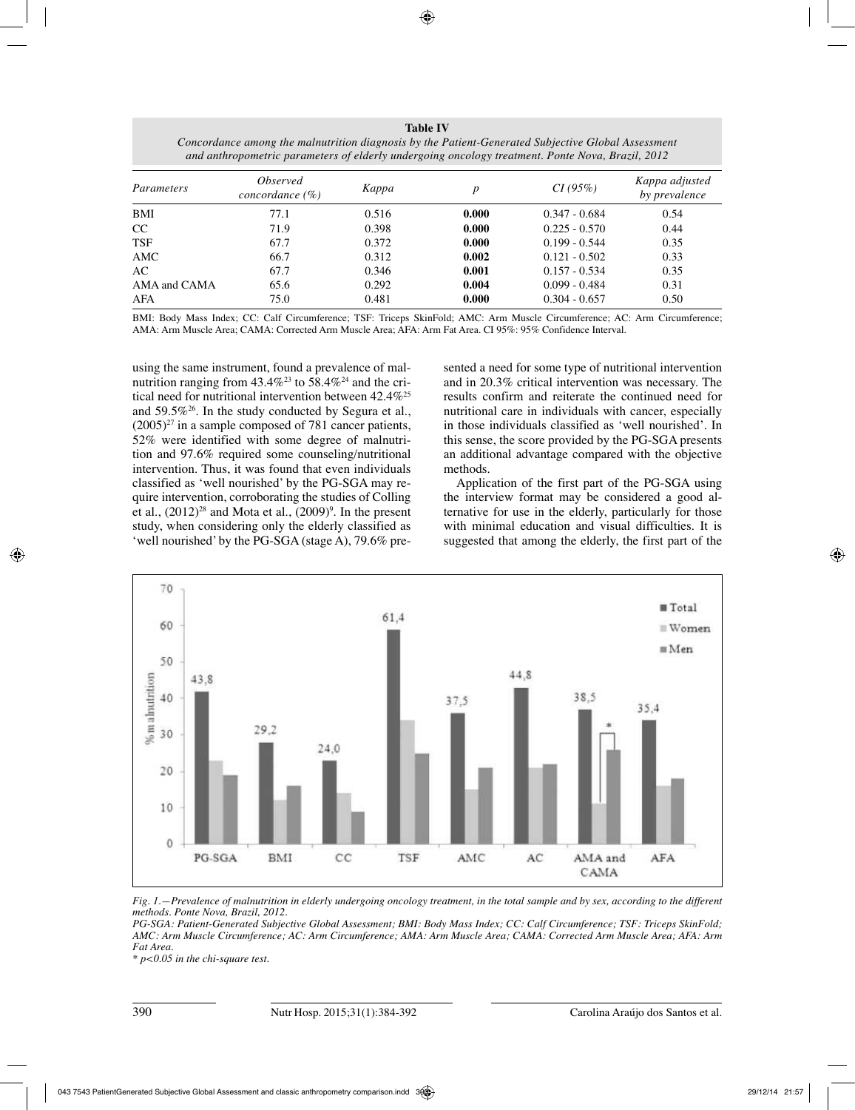| <b>Table IV</b>                                                                                    |
|----------------------------------------------------------------------------------------------------|
| Concordance among the malnutrition diagnosis by the Patient-Generated Subjective Global Assessment |
| and anthropometric parameters of elderly undergoing oncology treatment. Ponte Nova, Brazil, 2012   |

| Parameters   | <i><b>Observed</b></i><br>concordance $(\%)$ | Kappa | р     | CI(95%)         | Kappa adjusted<br>by prevalence |
|--------------|----------------------------------------------|-------|-------|-----------------|---------------------------------|
| BMI          | 77.1                                         | 0.516 | 0.000 | $0.347 - 0.684$ | 0.54                            |
| CC           | 71.9                                         | 0.398 | 0.000 | $0.225 - 0.570$ | 0.44                            |
| <b>TSF</b>   | 67.7                                         | 0.372 | 0.000 | $0.199 - 0.544$ | 0.35                            |
| AMC          | 66.7                                         | 0.312 | 0.002 | $0.121 - 0.502$ | 0.33                            |
| AC           | 67.7                                         | 0.346 | 0.001 | $0.157 - 0.534$ | 0.35                            |
| AMA and CAMA | 65.6                                         | 0.292 | 0.004 | $0.099 - 0.484$ | 0.31                            |
| AFA          | 75.0                                         | 0.481 | 0.000 | $0.304 - 0.657$ | 0.50                            |

BMI: Body Mass Index; CC: Calf Circumference; TSF: Triceps SkinFold; AMC: Arm Muscle Circumference; AC: Arm Circumference; AMA: Arm Muscle Area; CAMA: Corrected Arm Muscle Area; AFA: Arm Fat Area. CI 95%: 95% Confidence Interval.

using the same instrument, found a prevalence of malnutrition ranging from  $43.4\%^{23}$  to  $58.4\%^{24}$  and the critical need for nutritional intervention between 42.4%<sup>25</sup> and 59.5%26. In the study conducted by Segura et al.,  $(2005)^{27}$  in a sample composed of 781 cancer patients, 52% were identified with some degree of malnutrition and 97.6% required some counseling/nutritional intervention. Thus, it was found that even individuals classified as 'well nourished' by the PG-SGA may require intervention, corroborating the studies of Colling et al.,  $(2012)^{28}$  and Mota et al.,  $(2009)^{9}$ . In the present study, when considering only the elderly classified as 'well nourished' by the PG-SGA (stage A), 79.6% pre-

sented a need for some type of nutritional intervention and in 20.3% critical intervention was necessary. The results confirm and reiterate the continued need for nutritional care in individuals with cancer, especially in those individuals classified as 'well nourished'. In this sense, the score provided by the PG-SGA presents an additional advantage compared with the objective methods.

Application of the first part of the PG-SGA using the interview format may be considered a good alternative for use in the elderly, particularly for those with minimal education and visual difficulties. It is suggested that among the elderly, the first part of the



*Fig. 1.—Prevalence of malnutrition in elderly undergoing oncology treatment, in the total sample and by sex, according to the different methods. Ponte Nova, Brazil, 2012.*

*PG-SGA: Patient-Generated Subjective Global Assessment; BMI: Body Mass Index; CC: Calf Circumference; TSF: Triceps SkinFold; AMC: Arm Muscle Circumference; AC: Arm Circumference; AMA: Arm Muscle Area; CAMA: Corrected Arm Muscle Area; AFA: Arm Fat Area.* 

*\* p<0.05 in the chi-square test.*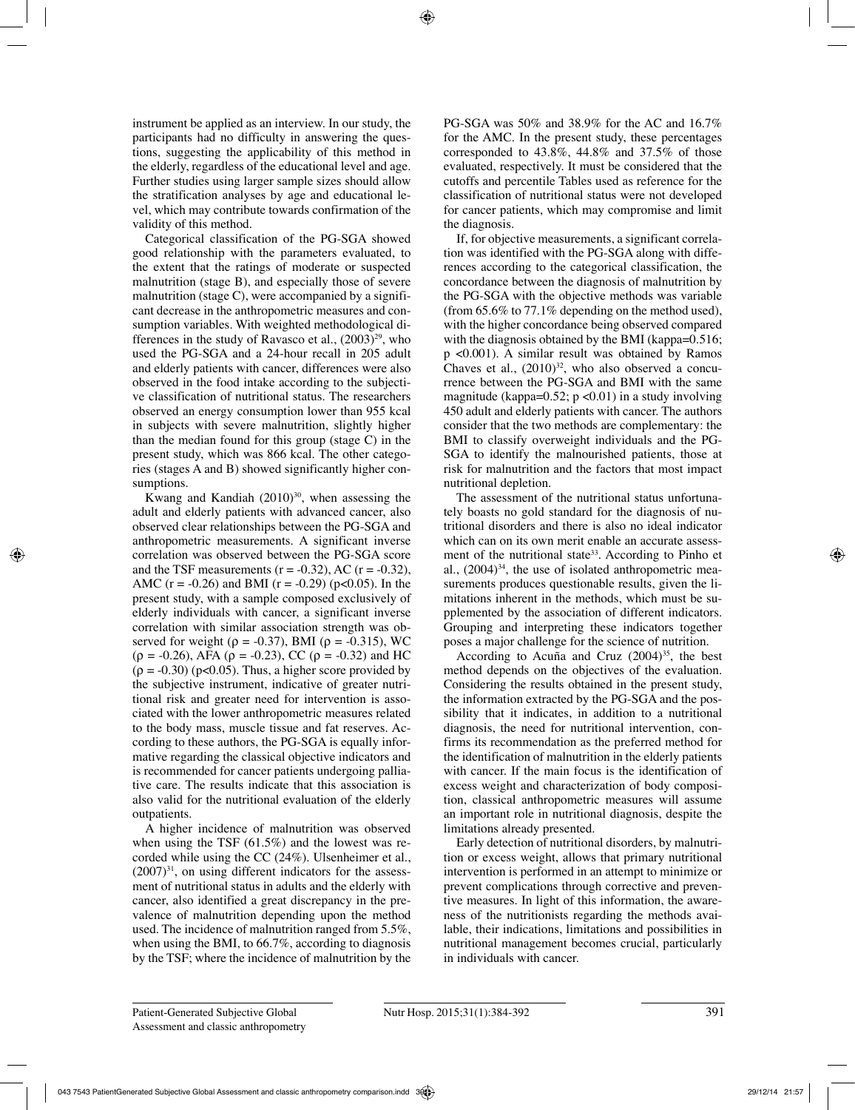instrument be applied as an interview. In our study, the participants had no difficulty in answering the questions, suggesting the applicability of this method in the elderly, regardless of the educational level and age. Further studies using larger sample sizes should allow the stratification analyses by age and educational level, which may contribute towards confirmation of the validity of this method.

Categorical classification of the PG-SGA showed good relationship with the parameters evaluated, to the extent that the ratings of moderate or suspected malnutrition (stage B), and especially those of severe malnutrition (stage C), were accompanied by a significant decrease in the anthropometric measures and consumption variables. With weighted methodological differences in the study of Ravasco et al.,  $(2003)^{29}$ , who used the PG-SGA and a 24-hour recall in 205 adult and elderly patients with cancer, differences were also observed in the food intake according to the subjective classification of nutritional status. The researchers observed an energy consumption lower than 955 kcal in subjects with severe malnutrition, slightly higher than the median found for this group (stage C) in the present study, which was 866 kcal. The other categories (stages A and B) showed significantly higher consumptions.

Kwang and Kandiah  $(2010)^{30}$ , when assessing the adult and elderly patients with advanced cancer, also observed clear relationships between the PG-SGA and anthropometric measurements. A significant inverse correlation was observed between the PG-SGA score and the TSF measurements  $(r = -0.32)$ , AC  $(r = -0.32)$ , AMC (r =  $-0.26$ ) and BMI (r =  $-0.29$ ) (p $< 0.05$ ). In the present study, with a sample composed exclusively of elderly individuals with cancer, a significant inverse correlation with similar association strength was observed for weight ( $\rho = -0.37$ ), BMI ( $\rho = -0.315$ ), WC  $(\rho = -0.26)$ , AFA  $(\rho = -0.23)$ , CC  $(\rho = -0.32)$  and HC  $(p = -0.30)$  (p<0.05). Thus, a higher score provided by the subjective instrument, indicative of greater nutritional risk and greater need for intervention is associated with the lower anthropometric measures related to the body mass, muscle tissue and fat reserves. According to these authors, the PG-SGA is equally informative regarding the classical objective indicators and is recommended for cancer patients undergoing palliative care. The results indicate that this association is also valid for the nutritional evaluation of the elderly outpatients.

A higher incidence of malnutrition was observed when using the TSF (61.5%) and the lowest was recorded while using the CC (24%). Ulsenheimer et al.,  $(2007)^{31}$ , on using different indicators for the assessment of nutritional status in adults and the elderly with cancer, also identified a great discrepancy in the prevalence of malnutrition depending upon the method used. The incidence of malnutrition ranged from 5.5%, when using the BMI, to 66.7%, according to diagnosis by the TSF; where the incidence of malnutrition by the PG-SGA was 50% and 38.9% for the AC and 16.7% for the AMC. In the present study, these percentages corresponded to 43.8%, 44.8% and 37.5% of those evaluated, respectively. It must be considered that the cutoffs and percentile Tables used as reference for the classification of nutritional status were not developed for cancer patients, which may compromise and limit the diagnosis.

If, for objective measurements, a significant correlation was identified with the PG-SGA along with differences according to the categorical classification, the concordance between the diagnosis of malnutrition by the PG-SGA with the objective methods was variable (from 65.6% to 77.1% depending on the method used), with the higher concordance being observed compared with the diagnosis obtained by the BMI (kappa=0.516; p <0.001). A similar result was obtained by Ramos Chaves et al.,  $(2010)^{32}$ , who also observed a concurrence between the PG-SGA and BMI with the same magnitude (kappa= $0.52$ ; p < $0.01$ ) in a study involving 450 adult and elderly patients with cancer. The authors consider that the two methods are complementary: the BMI to classify overweight individuals and the PG-SGA to identify the malnourished patients, those at risk for malnutrition and the factors that most impact nutritional depletion.

The assessment of the nutritional status unfortunately boasts no gold standard for the diagnosis of nutritional disorders and there is also no ideal indicator which can on its own merit enable an accurate assessment of the nutritional state<sup>33</sup>. According to Pinho et al.,  $(2004)^{34}$ , the use of isolated anthropometric measurements produces questionable results, given the limitations inherent in the methods, which must be supplemented by the association of different indicators. Grouping and interpreting these indicators together poses a major challenge for the science of nutrition.

According to Acuña and Cruz  $(2004)^{35}$ , the best method depends on the objectives of the evaluation. Considering the results obtained in the present study, the information extracted by the PG-SGA and the possibility that it indicates, in addition to a nutritional diagnosis, the need for nutritional intervention, confirms its recommendation as the preferred method for the identification of malnutrition in the elderly patients with cancer. If the main focus is the identification of excess weight and characterization of body composition, classical anthropometric measures will assume an important role in nutritional diagnosis, despite the limitations already presented.

Early detection of nutritional disorders, by malnutrition or excess weight, allows that primary nutritional intervention is performed in an attempt to minimize or prevent complications through corrective and preventive measures. In light of this information, the awareness of the nutritionists regarding the methods available, their indications, limitations and possibilities in nutritional management becomes crucial, particularly in individuals with cancer.